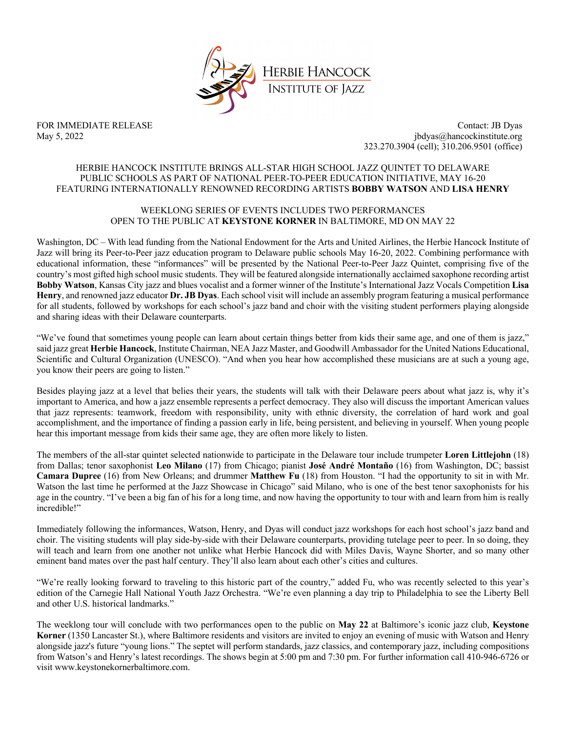

FOR IMMEDIATE RELEASE Contact: JB Dyas May 5, 2022 jbdyas@hancockinstitute.org 323.270.3904 (cell); 310.206.9501 (office)

# HERBIE HANCOCK INSTITUTE BRINGS ALL-STAR HIGH SCHOOL JAZZ QUINTET TO DELAWARE PUBLIC SCHOOLS AS PART OF NATIONAL PEER-TO-PEER EDUCATION INITIATIVE, MAY 16-20 FEATURING INTERNATIONALLY RENOWNED RECORDING ARTISTS **BOBBY WATSON** AND **LISA HENRY**

# WEEKLONG SERIES OF EVENTS INCLUDES TWO PERFORMANCES OPEN TO THE PUBLIC AT **KEYSTONE KORNER** IN BALTIMORE, MD ON MAY 22

Washington, DC – With lead funding from the National Endowment for the Arts and United Airlines, the Herbie Hancock Institute of Jazz will bring its Peer-to-Peer jazz education program to Delaware public schools May 16-20, 2022. Combining performance with educational information, these "informances" will be presented by the National Peer-to-Peer Jazz Quintet, comprising five of the country's most gifted high school music students. They will be featured alongside internationally acclaimed saxophone recording artist **Bobby Watson**, Kansas City jazz and blues vocalist and a former winner of the Institute's International Jazz Vocals Competition **Lisa Henry**, and renowned jazz educator **Dr. JB Dyas**. Each school visit will include an assembly program featuring a musical performance for all students, followed by workshops for each school's jazz band and choir with the visiting student performers playing alongside and sharing ideas with their Delaware counterparts.

"We've found that sometimes young people can learn about certain things better from kids their same age, and one of them is jazz," said jazz great **Herbie Hancock**, Institute Chairman, NEA Jazz Master, and Goodwill Ambassador for the United Nations Educational, Scientific and Cultural Organization (UNESCO). "And when you hear how accomplished these musicians are at such a young age, you know their peers are going to listen."

Besides playing jazz at a level that belies their years, the students will talk with their Delaware peers about what jazz is, why it's important to America, and how a jazz ensemble represents a perfect democracy. They also will discuss the important American values that jazz represents: teamwork, freedom with responsibility, unity with ethnic diversity, the correlation of hard work and goal accomplishment, and the importance of finding a passion early in life, being persistent, and believing in yourself. When young people hear this important message from kids their same age, they are often more likely to listen.

The members of the all-star quintet selected nationwide to participate in the Delaware tour include trumpeter **Loren Littlejohn** (18) from Dallas; tenor saxophonist **Leo Milano** (17) from Chicago; pianist **José André Montaño** (16) from Washington, DC; bassist **Camara Dupree** (16) from New Orleans; and drummer **Matthew Fu** (18) from Houston. "I had the opportunity to sit in with Mr. Watson the last time he performed at the Jazz Showcase in Chicago" said Milano, who is one of the best tenor saxophonists for his age in the country. "I've been a big fan of his for a long time, and now having the opportunity to tour with and learn from him is really incredible!"

Immediately following the informances, Watson, Henry, and Dyas will conduct jazz workshops for each host school's jazz band and choir. The visiting students will play side-by-side with their Delaware counterparts, providing tutelage peer to peer. In so doing, they will teach and learn from one another not unlike what Herbie Hancock did with Miles Davis, Wayne Shorter, and so many other eminent band mates over the past half century. They'll also learn about each other's cities and cultures.

"We're really looking forward to traveling to this historic part of the country," added Fu, who was recently selected to this year's edition of the Carnegie Hall National Youth Jazz Orchestra. "We're even planning a day trip to Philadelphia to see the Liberty Bell and other U.S. historical landmarks."

The weeklong tour will conclude with two performances open to the public on **May 22** at Baltimore's iconic jazz club, **Keystone Korner** (1350 Lancaster St.), where Baltimore residents and visitors are invited to enjoy an evening of music with Watson and Henry alongside jazz's future "young lions." The septet will perform standards, jazz classics, and contemporary jazz, including compositions from Watson's and Henry's latest recordings. The shows begin at 5:00 pm and 7:30 pm. For further information call 410-946-6726 or visit www.keystonekornerbaltimore.com.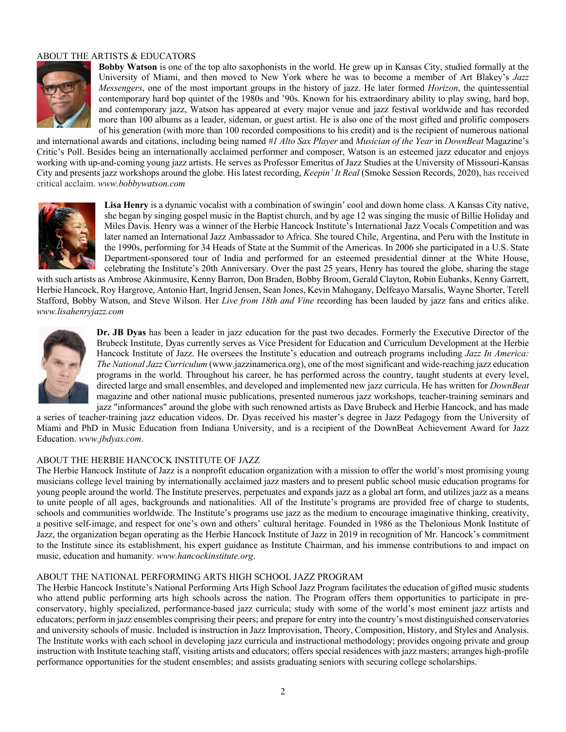# ABOUT THE ARTISTS & EDUCATORS



**Bobby Watson** is one of the top alto saxophonists in the world. He grew up in Kansas City, studied formally at the University of Miami, and then moved to New York where he was to become a member of Art Blakey's *Jazz Messengers*, one of the most important groups in the history of jazz. He later formed *Horizon*, the quintessential contemporary hard bop quintet of the 1980s and '90s. Known for his extraordinary ability to play swing, hard bop, and contemporary jazz, Watson has appeared at every major venue and jazz festival worldwide and has recorded more than 100 albums as a leader, sideman, or guest artist. He is also one of the most gifted and prolific composers of his generation (with more than 100 recorded compositions to his credit) and is the recipient of numerous national

and international awards and citations, including being named *#1 Alto Sax Player* and *Musician of the Year* in *DownBeat* Magazine's Critic's Poll. Besides being an internationally acclaimed performer and composer, Watson is an esteemed jazz educator and enjoys working with up-and-coming young jazz artists. He serves as Professor Emeritus of Jazz Studies at the University of Missouri-Kansas City and presents jazz workshops around the globe. His latest recording, *Keepin' It Real* (Smoke Session Records, 2020), has received critical acclaim. *www.bobbywatson.com*



**Lisa Henry** is a dynamic vocalist with a combination of swingin' cool and down home class. A Kansas City native, she began by singing gospel music in the Baptist church, and by age 12 was singing the music of Billie Holiday and Miles Davis. Henry was a winner of the Herbie Hancock Institute's International Jazz Vocals Competition and was later named an International Jazz Ambassador to Africa. She toured Chile, Argentina, and Peru with the Institute in the 1990s, performing for 34 Heads of State at the Summit of the Americas. In 2006 she participated in a U.S. State Department-sponsored tour of India and performed for an esteemed presidential dinner at the White House, celebrating the Institute's 20th Anniversary. Over the past 25 years, Henry has toured the globe, sharing the stage

with such artists as Ambrose Akinmusire, Kenny Barron, Don Braden, Bobby Broom, Gerald Clayton, Robin Eubanks, Kenny Garrett, Herbie Hancock, Roy Hargrove, Antonio Hart, Ingrid Jensen, Sean Jones, Kevin Mahogany, Delfeayo Marsalis, Wayne Shorter, Terell Stafford, Bobby Watson, and Steve Wilson. Her *Live from 18th and Vine* recording has been lauded by jazz fans and critics alike. *www.lisahenryjazz.com*



**Dr. JB Dyas** has been a leader in jazz education for the past two decades. Formerly the Executive Director of the Brubeck Institute, Dyas currently serves as Vice President for Education and Curriculum Development at the Herbie Hancock Institute of Jazz. He oversees the Institute's education and outreach programs including *Jazz In America: The National Jazz Curriculum* (www.jazzinamerica.org), one of the most significant and wide-reaching jazz education programs in the world. Throughout his career, he has performed across the country, taught students at every level, directed large and small ensembles, and developed and implemented new jazz curricula. He has written for *DownBeat* magazine and other national music publications, presented numerous jazz workshops, teacher-training seminars and jazz "informances" around the globe with such renowned artists as Dave Brubeck and Herbie Hancock, and has made

a series of teacher-training jazz education videos. Dr. Dyas received his master's degree in Jazz Pedagogy from the University of Miami and PhD in Music Education from Indiana University, and is a recipient of the DownBeat Achievement Award for Jazz Education. *www.jbdyas.com*.

# ABOUT THE HERBIE HANCOCK INSTITUTE OF JAZZ

The Herbie Hancock Institute of Jazz is a nonprofit education organization with a mission to offer the world's most promising young musicians college level training by internationally acclaimed jazz masters and to present public school music education programs for young people around the world. The Institute preserves, perpetuates and expands jazz as a global art form, and utilizes jazz as a means to unite people of all ages, backgrounds and nationalities. All of the Institute's programs are provided free of charge to students, schools and communities worldwide. The Institute's programs use jazz as the medium to encourage imaginative thinking, creativity, a positive self-image, and respect for one's own and others' cultural heritage. Founded in 1986 as the Thelonious Monk Institute of Jazz, the organization began operating as the Herbie Hancock Institute of Jazz in 2019 in recognition of Mr. Hancock's commitment to the Institute since its establishment, his expert guidance as Institute Chairman, and his immense contributions to and impact on music, education and humanity. *www.hancockinstitute.org*.

#### ABOUT THE NATIONAL PERFORMING ARTS HIGH SCHOOL JAZZ PROGRAM

The Herbie Hancock Institute's National Performing Arts High School Jazz Program facilitates the education of gifted music students who attend public performing arts high schools across the nation. The Program offers them opportunities to participate in preconservatory, highly specialized, performance-based jazz curricula; study with some of the world's most eminent jazz artists and educators; perform in jazz ensembles comprising their peers; and prepare for entry into the country's most distinguished conservatories and university schools of music. Included is instruction in Jazz Improvisation, Theory, Composition, History, and Styles and Analysis. The Institute works with each school in developing jazz curricula and instructional methodology; provides ongoing private and group instruction with Institute teaching staff, visiting artists and educators; offers special residences with jazz masters; arranges high-profile performance opportunities for the student ensembles; and assists graduating seniors with securing college scholarships.